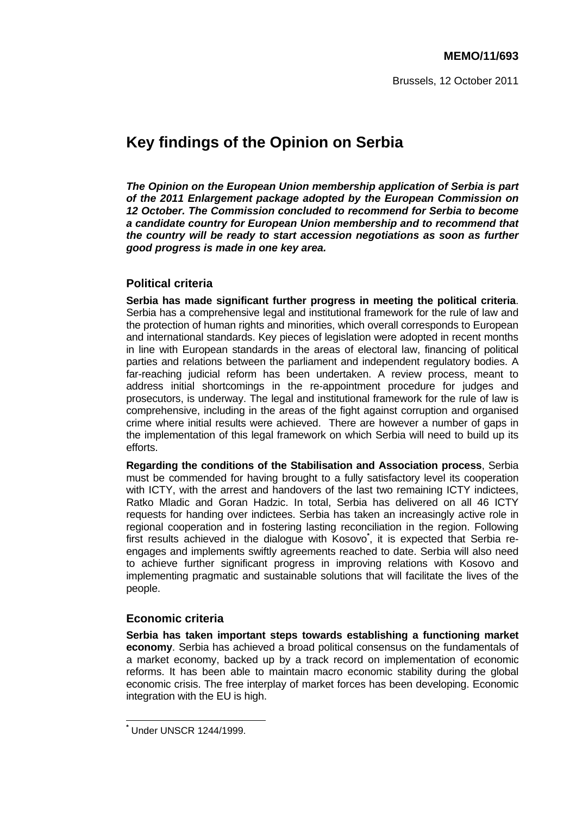# **Key findings of the Opinion on Serbia**

*The Opinion on the European Union membership application of Serbia is part of the 2011 Enlargement package adopted by the European Commission on 12 October. The Commission concluded to recommend for Serbia to become a candidate country for European Union membership and to recommend that the country will be ready to start accession negotiations as soon as further good progress is made in one key area.* 

# **Political criteria**

**Serbia has made significant further progress in meeting the political criteria**. Serbia has a comprehensive legal and institutional framework for the rule of law and the protection of human rights and minorities, which overall corresponds to European and international standards. Key pieces of legislation were adopted in recent months in line with European standards in the areas of electoral law, financing of political parties and relations between the parliament and independent regulatory bodies. A far-reaching judicial reform has been undertaken. A review process, meant to address initial shortcomings in the re-appointment procedure for judges and prosecutors, is underway. The legal and institutional framework for the rule of law is comprehensive, including in the areas of the fight against corruption and organised crime where initial results were achieved. There are however a number of gaps in the implementation of this legal framework on which Serbia will need to build up its efforts.

**Regarding the conditions of the Stabilisation and Association process**, Serbia must be commended for having brought to a fully satisfactory level its cooperation with ICTY, with the arrest and handovers of the last two remaining ICTY indictees, Ratko Mladic and Goran Hadzic. In total, Serbia has delivered on all 46 ICTY requests for handing over indictees. Serbia has taken an increasingly active role in regional cooperation and in fostering lasting reconciliation in the region. Following first results achieved in the dialogue with Kosovo**\*** , it is expected that Serbia reengages and implements swiftly agreements reached to date. Serbia will also need to achieve further significant progress in improving relations with Kosovo and implementing pragmatic and sustainable solutions that will facilitate the lives of the people.

# **Economic criteria**

**Serbia has taken important steps towards establishing a functioning market economy**. Serbia has achieved a broad political consensus on the fundamentals of a market economy, backed up by a track record on implementation of economic reforms. It has been able to maintain macro economic stability during the global economic crisis. The free interplay of market forces has been developing. Economic integration with the EU is high.

 $\overline{a}$ **\*** Under UNSCR 1244/1999.